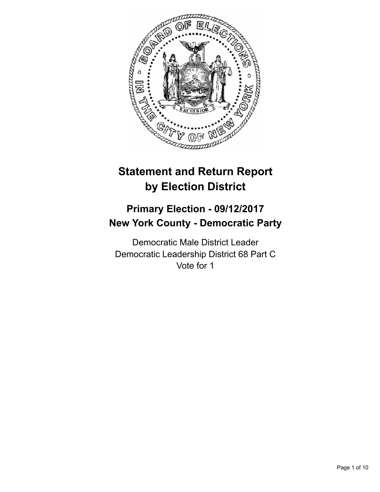

# **Statement and Return Report by Election District**

## **Primary Election - 09/12/2017 New York County - Democratic Party**

Democratic Male District Leader Democratic Leadership District 68 Part C Vote for 1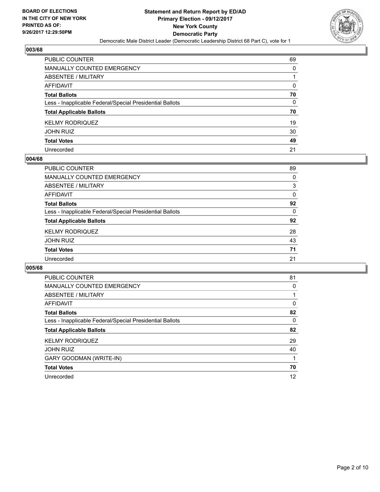

| PUBLIC COUNTER                                           | 69 |
|----------------------------------------------------------|----|
| MANUALLY COUNTED EMERGENCY                               | 0  |
| <b>ABSENTEE / MILITARY</b>                               |    |
| <b>AFFIDAVIT</b>                                         | 0  |
| <b>Total Ballots</b>                                     | 70 |
| Less - Inapplicable Federal/Special Presidential Ballots | 0  |
| <b>Total Applicable Ballots</b>                          | 70 |
| <b>KELMY RODRIQUEZ</b>                                   | 19 |
| <b>JOHN RUIZ</b>                                         | 30 |
| <b>Total Votes</b>                                       | 49 |
| Unrecorded                                               | 21 |

#### **004/68**

| PUBLIC COUNTER                                           | 89 |
|----------------------------------------------------------|----|
| MANUALLY COUNTED EMERGENCY                               | 0  |
| ABSENTEE / MILITARY                                      | 3  |
| AFFIDAVIT                                                | 0  |
| <b>Total Ballots</b>                                     | 92 |
| Less - Inapplicable Federal/Special Presidential Ballots | 0  |
| <b>Total Applicable Ballots</b>                          | 92 |
| <b>KELMY RODRIQUEZ</b>                                   | 28 |
| <b>JOHN RUIZ</b>                                         | 43 |
| <b>Total Votes</b>                                       | 71 |
| Unrecorded                                               | 21 |

| PUBLIC COUNTER                                           | 81 |
|----------------------------------------------------------|----|
| <b>MANUALLY COUNTED EMERGENCY</b>                        | 0  |
| ABSENTEE / MILITARY                                      |    |
| AFFIDAVIT                                                | 0  |
| <b>Total Ballots</b>                                     | 82 |
| Less - Inapplicable Federal/Special Presidential Ballots | 0  |
| <b>Total Applicable Ballots</b>                          | 82 |
| <b>KELMY RODRIQUEZ</b>                                   | 29 |
| <b>JOHN RUIZ</b>                                         | 40 |
| <b>GARY GOODMAN (WRITE-IN)</b>                           |    |
| <b>Total Votes</b>                                       | 70 |
| Unrecorded                                               | 12 |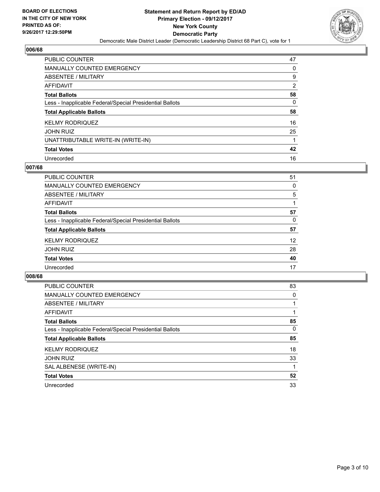

| <b>PUBLIC COUNTER</b>                                    | 47             |
|----------------------------------------------------------|----------------|
| <b>MANUALLY COUNTED EMERGENCY</b>                        | 0              |
| ABSENTEE / MILITARY                                      | 9              |
| AFFIDAVIT                                                | $\overline{2}$ |
| <b>Total Ballots</b>                                     | 58             |
| Less - Inapplicable Federal/Special Presidential Ballots | 0              |
| <b>Total Applicable Ballots</b>                          | 58             |
| <b>KELMY RODRIQUEZ</b>                                   | 16             |
| <b>JOHN RUIZ</b>                                         | 25             |
| UNATTRIBUTABLE WRITE-IN (WRITE-IN)                       |                |
| <b>Total Votes</b>                                       | 42             |
|                                                          |                |

#### **007/68**

| PUBLIC COUNTER                                           | 51 |
|----------------------------------------------------------|----|
| <b>MANUALLY COUNTED EMERGENCY</b>                        | 0  |
| ABSENTEE / MILITARY                                      | 5  |
| AFFIDAVIT                                                |    |
| <b>Total Ballots</b>                                     | 57 |
| Less - Inapplicable Federal/Special Presidential Ballots | 0  |
| <b>Total Applicable Ballots</b>                          | 57 |
| <b>KELMY RODRIQUEZ</b>                                   | 12 |
| <b>JOHN RUIZ</b>                                         | 28 |
| <b>Total Votes</b>                                       | 40 |
| Unrecorded                                               | 17 |

| <b>PUBLIC COUNTER</b>                                    | 83       |
|----------------------------------------------------------|----------|
| <b>MANUALLY COUNTED EMERGENCY</b>                        | 0        |
| ABSENTEE / MILITARY                                      |          |
| <b>AFFIDAVIT</b>                                         |          |
| <b>Total Ballots</b>                                     | 85       |
| Less - Inapplicable Federal/Special Presidential Ballots | $\Omega$ |
| <b>Total Applicable Ballots</b>                          | 85       |
| <b>KELMY RODRIQUEZ</b>                                   | 18       |
| <b>JOHN RUIZ</b>                                         | 33       |
| SAL ALBENESE (WRITE-IN)                                  |          |
| <b>Total Votes</b>                                       | 52       |
| Unrecorded                                               | 33       |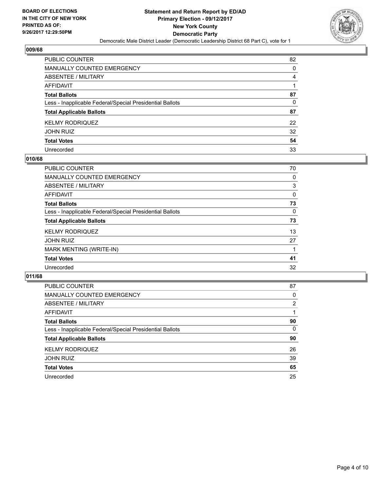

| PUBLIC COUNTER                                           | 82 |
|----------------------------------------------------------|----|
| <b>MANUALLY COUNTED EMERGENCY</b>                        | 0  |
| <b>ABSENTEE / MILITARY</b>                               | 4  |
| <b>AFFIDAVIT</b>                                         |    |
| <b>Total Ballots</b>                                     | 87 |
| Less - Inapplicable Federal/Special Presidential Ballots | 0  |
| <b>Total Applicable Ballots</b>                          | 87 |
| <b>KELMY RODRIQUEZ</b>                                   | 22 |
| <b>JOHN RUIZ</b>                                         | 32 |
| <b>Total Votes</b>                                       | 54 |
| Unrecorded                                               | 33 |

#### **010/68**

| <b>PUBLIC COUNTER</b>                                    | 70 |
|----------------------------------------------------------|----|
| MANUALLY COUNTED EMERGENCY                               | 0  |
| ABSENTEE / MILITARY                                      | 3  |
| AFFIDAVIT                                                | 0  |
| <b>Total Ballots</b>                                     | 73 |
| Less - Inapplicable Federal/Special Presidential Ballots | 0  |
| <b>Total Applicable Ballots</b>                          | 73 |
| <b>KELMY RODRIQUEZ</b>                                   | 13 |
| <b>JOHN RUIZ</b>                                         | 27 |
| MARK MENTING (WRITE-IN)                                  |    |
| <b>Total Votes</b>                                       | 41 |
| Unrecorded                                               | 32 |
|                                                          |    |

| <b>PUBLIC COUNTER</b>                                    | 87 |
|----------------------------------------------------------|----|
| MANUALLY COUNTED EMERGENCY                               | 0  |
| ABSENTEE / MILITARY                                      | 2  |
| AFFIDAVIT                                                |    |
| <b>Total Ballots</b>                                     | 90 |
| Less - Inapplicable Federal/Special Presidential Ballots | 0  |
| <b>Total Applicable Ballots</b>                          | 90 |
| <b>KELMY RODRIQUEZ</b>                                   | 26 |
| <b>JOHN RUIZ</b>                                         | 39 |
| <b>Total Votes</b>                                       | 65 |
| Unrecorded                                               | 25 |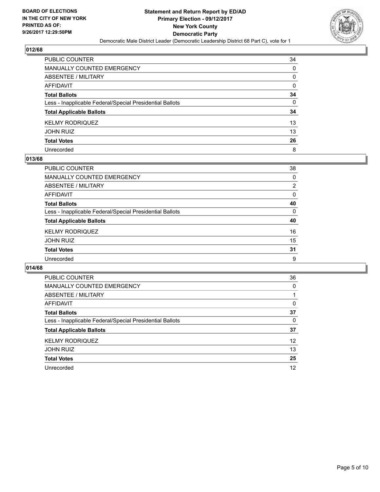

| PUBLIC COUNTER                                           | 34 |
|----------------------------------------------------------|----|
| <b>MANUALLY COUNTED EMERGENCY</b>                        | 0  |
| <b>ABSENTEE / MILITARY</b>                               | 0  |
| <b>AFFIDAVIT</b>                                         | 0  |
| <b>Total Ballots</b>                                     | 34 |
| Less - Inapplicable Federal/Special Presidential Ballots | 0  |
| <b>Total Applicable Ballots</b>                          | 34 |
| <b>KELMY RODRIQUEZ</b>                                   | 13 |
| <b>JOHN RUIZ</b>                                         | 13 |
| <b>Total Votes</b>                                       | 26 |
| Unrecorded                                               | 8  |

### **013/68**

| <b>PUBLIC COUNTER</b>                                    | 38             |
|----------------------------------------------------------|----------------|
| MANUALLY COUNTED EMERGENCY                               | 0              |
| ABSENTEE / MILITARY                                      | $\overline{2}$ |
| AFFIDAVIT                                                | 0              |
| <b>Total Ballots</b>                                     | 40             |
| Less - Inapplicable Federal/Special Presidential Ballots | 0              |
| <b>Total Applicable Ballots</b>                          | 40             |
| <b>KELMY RODRIQUEZ</b>                                   | 16             |
| <b>JOHN RUIZ</b>                                         | 15             |
| <b>Total Votes</b>                                       | 31             |
| Unrecorded                                               | 9              |

| <b>PUBLIC COUNTER</b>                                    | 36 |
|----------------------------------------------------------|----|
| <b>MANUALLY COUNTED EMERGENCY</b>                        | 0  |
| ABSENTEE / MILITARY                                      |    |
| AFFIDAVIT                                                | 0  |
| <b>Total Ballots</b>                                     | 37 |
| Less - Inapplicable Federal/Special Presidential Ballots | 0  |
| <b>Total Applicable Ballots</b>                          | 37 |
| <b>KELMY RODRIQUEZ</b>                                   | 12 |
| <b>JOHN RUIZ</b>                                         | 13 |
| <b>Total Votes</b>                                       | 25 |
| Unrecorded                                               | 12 |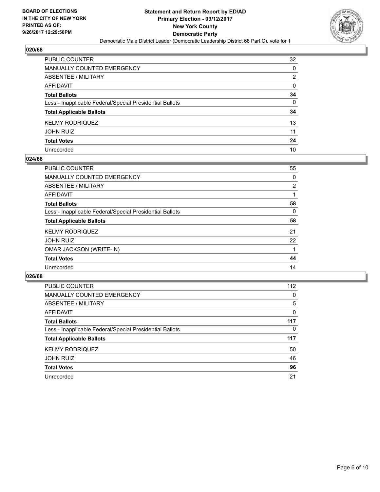

| PUBLIC COUNTER                                           | 32 |
|----------------------------------------------------------|----|
| <b>MANUALLY COUNTED EMERGENCY</b>                        | 0  |
| ABSENTEE / MILITARY                                      | 2  |
| <b>AFFIDAVIT</b>                                         | 0  |
| <b>Total Ballots</b>                                     | 34 |
| Less - Inapplicable Federal/Special Presidential Ballots | 0  |
| <b>Total Applicable Ballots</b>                          | 34 |
| <b>KELMY RODRIQUEZ</b>                                   | 13 |
| JOHN RUIZ                                                | 11 |
| <b>Total Votes</b>                                       | 24 |
| Unrecorded                                               | 10 |

#### **024/68**

| <b>PUBLIC COUNTER</b>                                    | 55             |
|----------------------------------------------------------|----------------|
| <b>MANUALLY COUNTED EMERGENCY</b>                        | 0              |
| ABSENTEE / MILITARY                                      | $\overline{2}$ |
| AFFIDAVIT                                                |                |
| <b>Total Ballots</b>                                     | 58             |
| Less - Inapplicable Federal/Special Presidential Ballots | 0              |
| <b>Total Applicable Ballots</b>                          | 58             |
| <b>KELMY RODRIQUEZ</b>                                   | 21             |
| <b>JOHN RUIZ</b>                                         | 22             |
| <b>OMAR JACKSON (WRITE-IN)</b>                           |                |
| <b>Total Votes</b>                                       | 44             |
| Unrecorded                                               | 14             |

| <b>PUBLIC COUNTER</b>                                    | 112      |
|----------------------------------------------------------|----------|
| MANUALLY COUNTED EMERGENCY                               | 0        |
| ABSENTEE / MILITARY                                      | 5        |
| AFFIDAVIT                                                | 0        |
| <b>Total Ballots</b>                                     | 117      |
| Less - Inapplicable Federal/Special Presidential Ballots | $\Omega$ |
| <b>Total Applicable Ballots</b>                          | 117      |
| <b>KELMY RODRIQUEZ</b>                                   | 50       |
| <b>JOHN RUIZ</b>                                         | 46       |
| <b>Total Votes</b>                                       | 96       |
| Unrecorded                                               | 21       |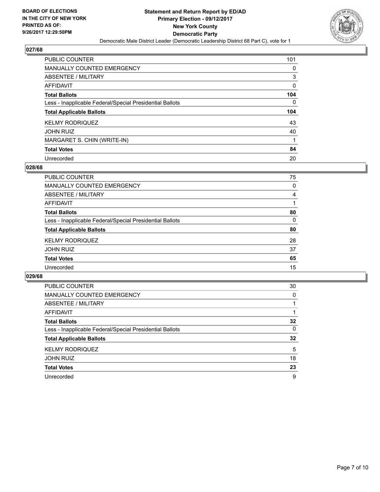

| <b>PUBLIC COUNTER</b>                                    | 101       |
|----------------------------------------------------------|-----------|
| <b>MANUALLY COUNTED EMERGENCY</b>                        | 0         |
| ABSENTEE / MILITARY                                      | 3         |
| AFFIDAVIT                                                | 0         |
| <b>Total Ballots</b>                                     | 104       |
| Less - Inapplicable Federal/Special Presidential Ballots | 0         |
|                                                          |           |
| <b>Total Applicable Ballots</b>                          |           |
| <b>KELMY RODRIQUEZ</b>                                   | 104<br>43 |
| <b>JOHN RUIZ</b>                                         | 40        |
| MARGARET S. CHIN (WRITE-IN)                              |           |
| <b>Total Votes</b>                                       | 84        |

#### **028/68**

| 75 |
|----|
| 0  |
| 4  |
|    |
| 80 |
| 0  |
| 80 |
| 28 |
| 37 |
| 65 |
| 15 |
|    |

| <b>PUBLIC COUNTER</b>                                    | 30 |
|----------------------------------------------------------|----|
| MANUALLY COUNTED EMERGENCY                               | 0  |
| ABSENTEE / MILITARY                                      |    |
| AFFIDAVIT                                                |    |
| <b>Total Ballots</b>                                     | 32 |
| Less - Inapplicable Federal/Special Presidential Ballots | 0  |
| <b>Total Applicable Ballots</b>                          | 32 |
| <b>KELMY RODRIQUEZ</b>                                   | 5  |
| <b>JOHN RUIZ</b>                                         | 18 |
| <b>Total Votes</b>                                       | 23 |
| Unrecorded                                               | 9  |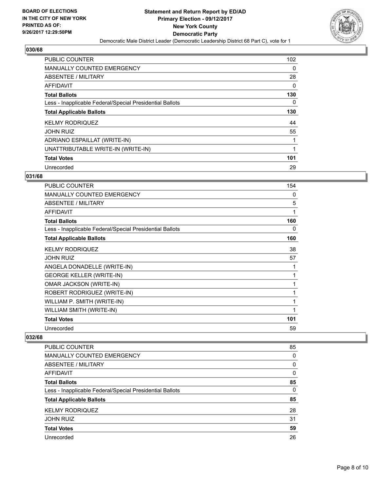

| PUBLIC COUNTER                                           | 102 |
|----------------------------------------------------------|-----|
| <b>MANUALLY COUNTED EMERGENCY</b>                        | 0   |
| ABSENTEE / MILITARY                                      | 28  |
| <b>AFFIDAVIT</b>                                         | 0   |
| <b>Total Ballots</b>                                     | 130 |
| Less - Inapplicable Federal/Special Presidential Ballots | 0   |
| <b>Total Applicable Ballots</b>                          | 130 |
| <b>KELMY RODRIQUEZ</b>                                   | 44  |
| <b>JOHN RUIZ</b>                                         | 55  |
| ADRIANO ESPAILLAT (WRITE-IN)                             | 1   |
| UNATTRIBUTABLE WRITE-IN (WRITE-IN)                       | 1   |
| <b>Total Votes</b>                                       | 101 |
| Unrecorded                                               | 29  |

### **031/68**

| <b>PUBLIC COUNTER</b>                                    | 154 |
|----------------------------------------------------------|-----|
| <b>MANUALLY COUNTED EMERGENCY</b>                        | 0   |
| <b>ABSENTEE / MILITARY</b>                               | 5   |
| <b>AFFIDAVIT</b>                                         | 1   |
| <b>Total Ballots</b>                                     | 160 |
| Less - Inapplicable Federal/Special Presidential Ballots | 0   |
| <b>Total Applicable Ballots</b>                          | 160 |
| <b>KELMY RODRIQUEZ</b>                                   | 38  |
| <b>JOHN RUIZ</b>                                         | 57  |
| ANGELA DONADELLE (WRITE-IN)                              | 1   |
| <b>GEORGE KELLER (WRITE-IN)</b>                          | 1   |
| OMAR JACKSON (WRITE-IN)                                  | 1   |
| ROBERT RODRIGUEZ (WRITE-IN)                              | 1   |
| WILLIAM P. SMITH (WRITE-IN)                              | 1   |
| WILLIAM SMITH (WRITE-IN)                                 | 1   |
| <b>Total Votes</b>                                       | 101 |
| Unrecorded                                               | 59  |

| <b>PUBLIC COUNTER</b>                                    | 85 |
|----------------------------------------------------------|----|
| <b>MANUALLY COUNTED EMERGENCY</b>                        | 0  |
| ABSENTEE / MILITARY                                      | 0  |
| AFFIDAVIT                                                | 0  |
| <b>Total Ballots</b>                                     | 85 |
| Less - Inapplicable Federal/Special Presidential Ballots | 0  |
| <b>Total Applicable Ballots</b>                          | 85 |
| <b>KELMY RODRIQUEZ</b>                                   | 28 |
| <b>JOHN RUIZ</b>                                         | 31 |
| <b>Total Votes</b>                                       | 59 |
| Unrecorded                                               | 26 |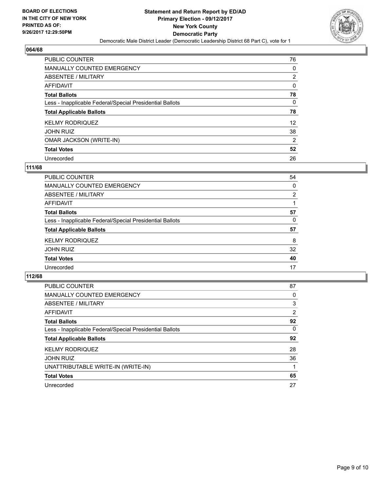

| <b>PUBLIC COUNTER</b>                                    | 76                |
|----------------------------------------------------------|-------------------|
| <b>MANUALLY COUNTED EMERGENCY</b>                        | 0                 |
| ABSENTEE / MILITARY                                      | $\overline{2}$    |
| AFFIDAVIT                                                | 0                 |
| <b>Total Ballots</b>                                     | 78                |
| Less - Inapplicable Federal/Special Presidential Ballots | 0                 |
| <b>Total Applicable Ballots</b>                          | 78                |
| <b>KELMY RODRIQUEZ</b>                                   | $12 \overline{ }$ |
| <b>JOHN RUIZ</b>                                         | 38                |
|                                                          |                   |
| <b>OMAR JACKSON (WRITE-IN)</b>                           | $\overline{2}$    |
| <b>Total Votes</b>                                       | 52                |

#### **111/68**

| PUBLIC COUNTER                                           | 54 |
|----------------------------------------------------------|----|
| MANUALLY COUNTED EMERGENCY                               | 0  |
| ABSENTEE / MILITARY                                      | 2  |
| AFFIDAVIT                                                |    |
| <b>Total Ballots</b>                                     | 57 |
| Less - Inapplicable Federal/Special Presidential Ballots | 0  |
| <b>Total Applicable Ballots</b>                          | 57 |
| <b>KELMY RODRIQUEZ</b>                                   | 8  |
| <b>JOHN RUIZ</b>                                         | 32 |
| <b>Total Votes</b>                                       | 40 |
| Unrecorded                                               | 17 |

| <b>PUBLIC COUNTER</b>                                    | 87 |
|----------------------------------------------------------|----|
| <b>MANUALLY COUNTED EMERGENCY</b>                        | 0  |
| ABSENTEE / MILITARY                                      | 3  |
| AFFIDAVIT                                                | 2  |
| <b>Total Ballots</b>                                     | 92 |
| Less - Inapplicable Federal/Special Presidential Ballots | 0  |
| <b>Total Applicable Ballots</b>                          | 92 |
| <b>KELMY RODRIQUEZ</b>                                   | 28 |
| <b>JOHN RUIZ</b>                                         | 36 |
| UNATTRIBUTABLE WRITE-IN (WRITE-IN)                       |    |
| <b>Total Votes</b>                                       | 65 |
| Unrecorded                                               | 27 |